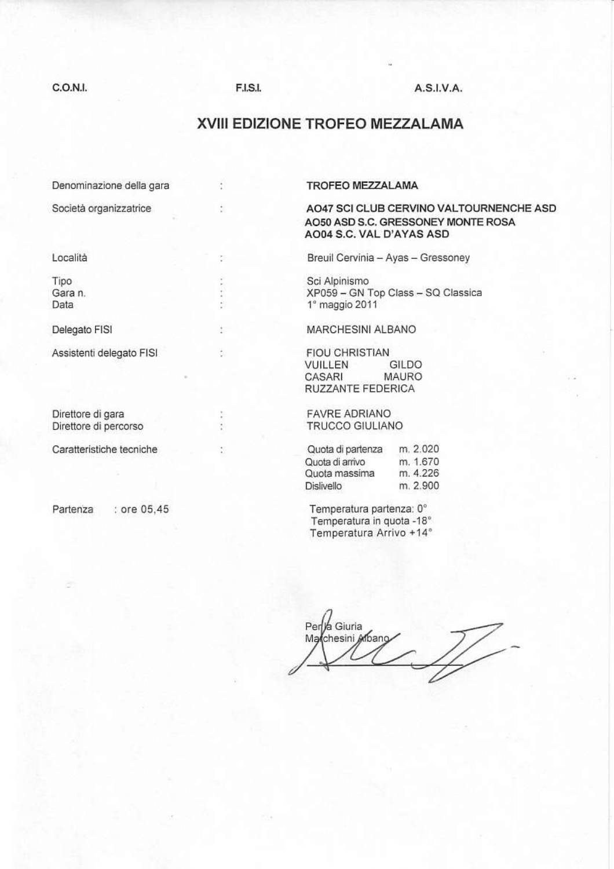### C.O.N.I.

## **F.I.S.I.**

š

š

ă

š.

ŏ

š,

## $A.S.I.V.A.$

# XVIII EDIZIONE TROFEO MEZZALAMA

Denominazione della gara

Società organizzatrice

Località

Tipo Gara n. Data

Delegato FISI

Assistenti delegato FISI

Direttore di gara Direttore di percorso

Caratteristiche tecniche

Partenza

: ore 05,45

#### **TROFEO MEZZALAMA**

## AO47 SCI CLUB CERVINO VALTOURNENCHE ASD AO50 ASD S.C. GRESSONEY MONTE ROSA AO04 S.C. VAL D'AYAS ASD

Breuil Cervinia - Ayas - Gressoney

Sci Alpinismo XP059 - GN Top Class - SQ Classica 1° maggio 2011

MARCHESINI ALBANO

**FIOU CHRISTIAN** VUILLEN GILDO **MAURO** CASARI RUZZANTE FEDERICA

**FAVRE ADRIANO TRUCCO GIULIANO** 

| Quota di partenza | m. 2.020 |
|-------------------|----------|
| Quota di arrivo   | m. 1.670 |
| Quota massima     | m. 4.226 |
| Dislivello        | m. 2.900 |

Temperatura partenza: 0° Temperatura in quota -18° Temperatura Arrivo +14°

Per / Giuria Marchesini Arbano